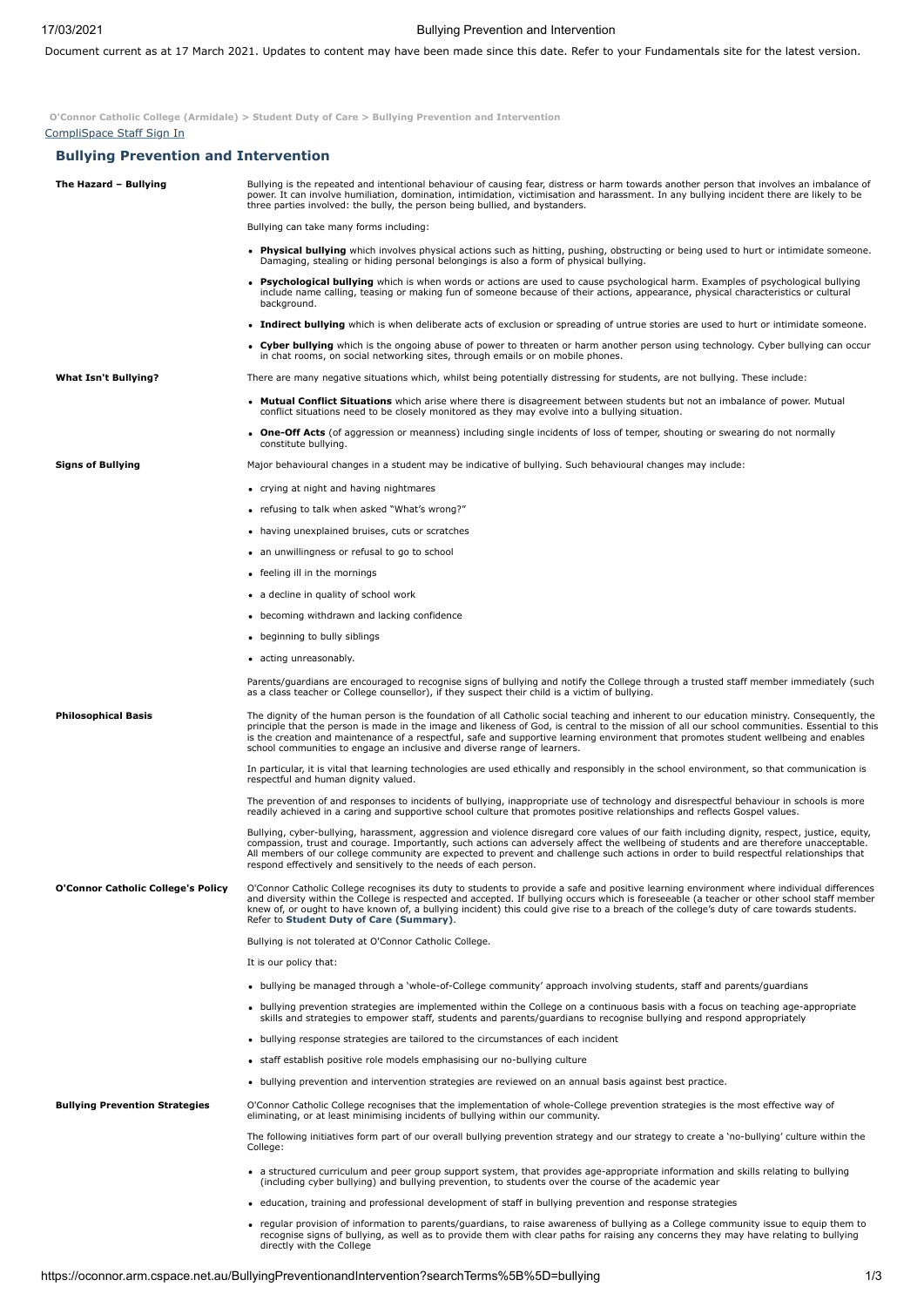Document current as at 17 March 2021. Updates to content may have been made since this date. Refer to your Fundamentals site for the latest version.

[CompliSpace Staff Sign In](https://5b9f55239f71ad6e.complispace.me/oauth2/authorize?response_type=code&client_id=complispace&redirect_uri=https%3A%2F%2Foconnor.arm.cspace.net.au%2Foauth%2Fcallback%3Fcsfauth%3Dstaff&scope=staff.complispace) **[O'Connor Catholic College \(Armidale\)](https://oconnor.arm.cspace.net.au/Home) > [Student Duty of Care](https://oconnor.arm.cspace.net.au/StudentDutyofCare) > Bullying Prevention and Intervention**

# **Bullying Prevention and Intervention**

| The Hazard - Bullying                     | Bullying is the repeated and intentional behaviour of causing fear, distress or harm towards another person that involves an imbalance of<br>power. It can involve humiliation, domination, intimidation, victimisation and harassment. In any bullying incident there are likely to be<br>three parties involved: the bully, the person being bullied, and bystanders.                                                                                                                                            |
|-------------------------------------------|--------------------------------------------------------------------------------------------------------------------------------------------------------------------------------------------------------------------------------------------------------------------------------------------------------------------------------------------------------------------------------------------------------------------------------------------------------------------------------------------------------------------|
|                                           | Bullying can take many forms including:                                                                                                                                                                                                                                                                                                                                                                                                                                                                            |
|                                           | . Physical bullying which involves physical actions such as hitting, pushing, obstructing or being used to hurt or intimidate someone.<br>Damaging, stealing or hiding personal belongings is also a form of physical bullying.                                                                                                                                                                                                                                                                                    |
|                                           | • Psychological bullying which is when words or actions are used to cause psychological harm. Examples of psychological bullying<br>include name calling, teasing or making fun of someone because of their actions, appearance, physical characteristics or cultural<br>background.                                                                                                                                                                                                                               |
|                                           | • Indirect bullying which is when deliberate acts of exclusion or spreading of untrue stories are used to hurt or intimidate someone.                                                                                                                                                                                                                                                                                                                                                                              |
|                                           | • Cyber bullying which is the ongoing abuse of power to threaten or harm another person using technology. Cyber bullying can occur<br>in chat rooms, on social networking sites, through emails or on mobile phones.                                                                                                                                                                                                                                                                                               |
| <b>What Isn't Bullying?</b>               | There are many negative situations which, whilst being potentially distressing for students, are not bullying. These include:                                                                                                                                                                                                                                                                                                                                                                                      |
|                                           | • Mutual Conflict Situations which arise where there is disagreement between students but not an imbalance of power. Mutual<br>conflict situations need to be closely monitored as they may evolve into a bullying situation.                                                                                                                                                                                                                                                                                      |
|                                           | • One-Off Acts (of aggression or meanness) including single incidents of loss of temper, shouting or swearing do not normally<br>constitute bullying.                                                                                                                                                                                                                                                                                                                                                              |
| <b>Signs of Bullying</b>                  | Major behavioural changes in a student may be indicative of bullying. Such behavioural changes may include:                                                                                                                                                                                                                                                                                                                                                                                                        |
|                                           | • crying at night and having nightmares                                                                                                                                                                                                                                                                                                                                                                                                                                                                            |
|                                           | • refusing to talk when asked "What's wrong?"                                                                                                                                                                                                                                                                                                                                                                                                                                                                      |
|                                           | • having unexplained bruises, cuts or scratches                                                                                                                                                                                                                                                                                                                                                                                                                                                                    |
|                                           | • an unwillingness or refusal to go to school                                                                                                                                                                                                                                                                                                                                                                                                                                                                      |
|                                           | • feeling ill in the mornings                                                                                                                                                                                                                                                                                                                                                                                                                                                                                      |
|                                           | • a decline in quality of school work                                                                                                                                                                                                                                                                                                                                                                                                                                                                              |
|                                           | • becoming withdrawn and lacking confidence                                                                                                                                                                                                                                                                                                                                                                                                                                                                        |
|                                           | • beginning to bully siblings                                                                                                                                                                                                                                                                                                                                                                                                                                                                                      |
|                                           | • acting unreasonably.                                                                                                                                                                                                                                                                                                                                                                                                                                                                                             |
|                                           | Parents/guardians are encouraged to recognise signs of bullying and notify the College through a trusted staff member immediately (such<br>as a class teacher or College counsellor), if they suspect their child is a victim of bullying.                                                                                                                                                                                                                                                                         |
| <b>Philosophical Basis</b>                | The dignity of the human person is the foundation of all Catholic social teaching and inherent to our education ministry. Consequently, the<br>principle that the person is made in the image and likeness of God, is central to the mission of all our school communities. Essential to this<br>is the creation and maintenance of a respectful, safe and supportive learning environment that promotes student wellbeing and enables<br>school communities to engage an inclusive and diverse range of learners. |
|                                           | In particular, it is vital that learning technologies are used ethically and responsibly in the school environment, so that communication is<br>respectful and human dignity valued.                                                                                                                                                                                                                                                                                                                               |
|                                           | The prevention of and responses to incidents of bullying, inappropriate use of technology and disrespectful behaviour in schools is more<br>readily achieved in a caring and supportive school culture that promotes positive relationships and reflects Gospel values.                                                                                                                                                                                                                                            |
|                                           | Bullying, cyber-bullying, harassment, aggression and violence disregard core values of our faith including dignity, respect, justice, equity,<br>compassion, trust and courage. Importantly, such actions can adversely affect the wellbeing of students and are therefore unacceptable.<br>All members of our college community are expected to prevent and challenge such actions in order to build respectful relationships that<br>respond effectively and sensitively to the needs of each person.            |
| <b>O'Connor Catholic College's Policy</b> | O'Connor Catholic College recognises its duty to students to provide a safe and positive learning environment where individual differences<br>and diversity within the College is respected and accepted. If bullying occurs which is foreseeable (a teacher or other school staff member<br>knew of, or ought to have known of, a bullying incident) this could give rise to a breach of the college's duty of care towards students.<br>Refer to Student Duty of Care (Summary).                                 |
|                                           | Bullying is not tolerated at O'Connor Catholic College.                                                                                                                                                                                                                                                                                                                                                                                                                                                            |
|                                           | It is our policy that:                                                                                                                                                                                                                                                                                                                                                                                                                                                                                             |
|                                           | • bullying be managed through a 'whole-of-College community' approach involving students, staff and parents/guardians                                                                                                                                                                                                                                                                                                                                                                                              |
|                                           | • bullying prevention strategies are implemented within the College on a continuous basis with a focus on teaching age-appropriate<br>skills and strategies to empower staff, students and parents/guardians to recognise bullying and respond appropriately                                                                                                                                                                                                                                                       |
|                                           | • bullying response strategies are tailored to the circumstances of each incident                                                                                                                                                                                                                                                                                                                                                                                                                                  |
|                                           | • staff establish positive role models emphasising our no-bullying culture                                                                                                                                                                                                                                                                                                                                                                                                                                         |
|                                           | • bullying prevention and intervention strategies are reviewed on an annual basis against best practice.                                                                                                                                                                                                                                                                                                                                                                                                           |
| <b>Bullying Prevention Strategies</b>     | O'Connor Catholic College recognises that the implementation of whole-College prevention strategies is the most effective way of<br>eliminating, or at least minimising incidents of bullying within our community.                                                                                                                                                                                                                                                                                                |
|                                           | The following initiatives form part of our overall bullying prevention strategy and our strategy to create a 'no-bullying' culture within the<br>College:                                                                                                                                                                                                                                                                                                                                                          |
|                                           | • a structured curriculum and peer group support system, that provides age-appropriate information and skills relating to bullying<br>(including cyber bullying) and bullying prevention, to students over the course of the academic year                                                                                                                                                                                                                                                                         |
|                                           | • education, training and professional development of staff in bullying prevention and response strategies                                                                                                                                                                                                                                                                                                                                                                                                         |
|                                           | • regular provision of information to parents/guardians, to raise awareness of bullying as a College community issue to equip them to<br>recognise signs of bullying, as well as to provide them with clear paths for raising any concerns they may have relating to bullying<br>directly with the College                                                                                                                                                                                                         |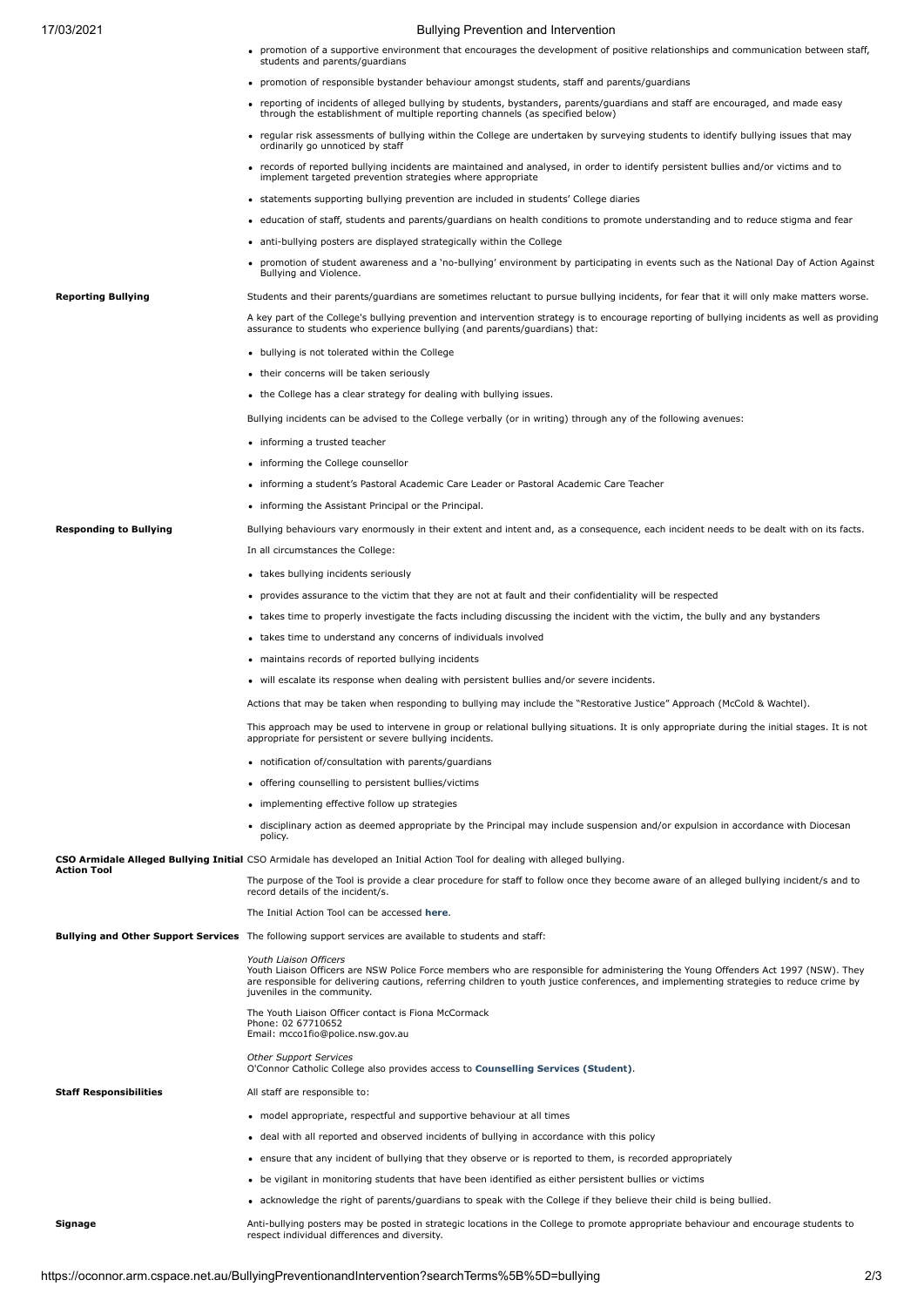## 17/03/2021 Bullying Prevention and Intervention

promotion of a supportive environment that encourages the development of positive relationships and communication between staff, students and parents/guardians

- promotion of responsible bystander behaviour amongst students, staff and parents/guardians
- reporting of incidents of alleged bullying by students, bystanders, parents/guardians and staff are encouraged, and made easy through the establishment of multiple reporting channels (as specified below)
- regular risk assessments of bullying within the College are undertaken by surveying students to identify bullying issues that may ordinarily go unnoticed by staff
- records of reported bullying incidents are maintained and analysed, in order to identify persistent bullies and/or victims and to implement targeted prevention strategies where appropriate
- statements supporting bullying prevention are included in students' College diaries
- education of staff, students and parents/guardians on health conditions to promote understanding and to reduce stigma and fear
- anti-bullying posters are displayed strategically within the College
- promotion of student awareness and a 'no-bullying' environment by participating in events such as the National Day of Action Against Bullying and Violence.

**Reporting Bullying** Students and their parents/guardians are sometimes reluctant to pursue bullying incidents, for fear that it will only make matters worse.

A key part of the College's bullying prevention and intervention strategy is to encourage reporting of bullying incidents as well as providing assurance to students who experience bullying (and parents/guardians) that:

- bullying is not tolerated within the College
- their concerns will be taken seriously
- the College has a clear strategy for dealing with bullying issues.

Bullying incidents can be advised to the College verbally (or in writing) through any of the following avenues:

- informing a trusted teacher
- informing the College counsellor
- informing a student's Pastoral Academic Care Leader or Pastoral Academic Care Teacher
- informing the Assistant Principal or the Principal.

**Responding to Bullying** Bullying behaviours vary enormously in their extent and intent and, as a consequence, each incident needs to be dealt with on its facts. In all circumstances the College:

- takes bullying incidents seriously
- provides assurance to the victim that they are not at fault and their confidentiality will be respected
- takes time to properly investigate the facts including discussing the incident with the victim, the bully and any bystanders
- takes time to understand any concerns of individuals involved
- maintains records of reported bullying incidents
- will escalate its response when dealing with persistent bullies and/or severe incidents.

Actions that may be taken when responding to bullying may include the "Restorative Justice" Approach (McCold & Wachtel).

This approach may be used to intervene in group or relational bullying situations. It is only appropriate during the initial stages. It is not appropriate for persistent or severe bullying incidents.

- notification of/consultation with parents/guardians
- offering counselling to persistent bullies/victims
- implementing effective follow up strategies
- disciplinary action as deemed appropriate by the Principal may include suspension and/or expulsion in accordance with Diocesan policy.

### **CSO Armidale Alleged Bullying Initial** CSO Armidale has developed an Initial Action Tool for dealing with alleged bullying.

| <b>Action Tool</b>            |                                                                                                                                                                                                                                                                                                                                         |
|-------------------------------|-----------------------------------------------------------------------------------------------------------------------------------------------------------------------------------------------------------------------------------------------------------------------------------------------------------------------------------------|
|                               | The purpose of the Tool is provide a clear procedure for staff to follow once they become aware of an alleged bullying incident/s and to<br>record details of the incident/s.                                                                                                                                                           |
|                               | The Initial Action Tool can be accessed here.                                                                                                                                                                                                                                                                                           |
|                               | <b>Bullying and Other Support Services</b> The following support services are available to students and staff:                                                                                                                                                                                                                          |
|                               | Youth Liaison Officers<br>Youth Liaison Officers are NSW Police Force members who are responsible for administering the Young Offenders Act 1997 (NSW). They<br>are responsible for delivering cautions, referring children to youth justice conferences, and implementing strategies to reduce crime by<br>juveniles in the community. |
|                               | The Youth Liaison Officer contact is Fiona McCormack<br>Phone: 02 67710652<br>Email: mcco1fio@police.nsw.gov.au                                                                                                                                                                                                                         |
|                               | <b>Other Support Services</b><br>O'Connor Catholic College also provides access to Counselling Services (Student).                                                                                                                                                                                                                      |
| <b>Staff Responsibilities</b> | All staff are responsible to:                                                                                                                                                                                                                                                                                                           |
|                               | • model appropriate, respectful and supportive behaviour at all times                                                                                                                                                                                                                                                                   |
|                               | • deal with all reported and observed incidents of bullying in accordance with this policy                                                                                                                                                                                                                                              |
|                               | • ensure that any incident of bullying that they observe or is reported to them, is recorded appropriately                                                                                                                                                                                                                              |
|                               | • be vigilant in monitoring students that have been identified as either persistent bullies or victims                                                                                                                                                                                                                                  |
|                               | • acknowledge the right of parents/quardians to speak with the College if they believe their child is being bullied.                                                                                                                                                                                                                    |
| Signage                       | Anti-bullying posters may be posted in strategic locations in the College to promote appropriate behaviour and encourage students to<br>respect individual differences and diversity.                                                                                                                                                   |